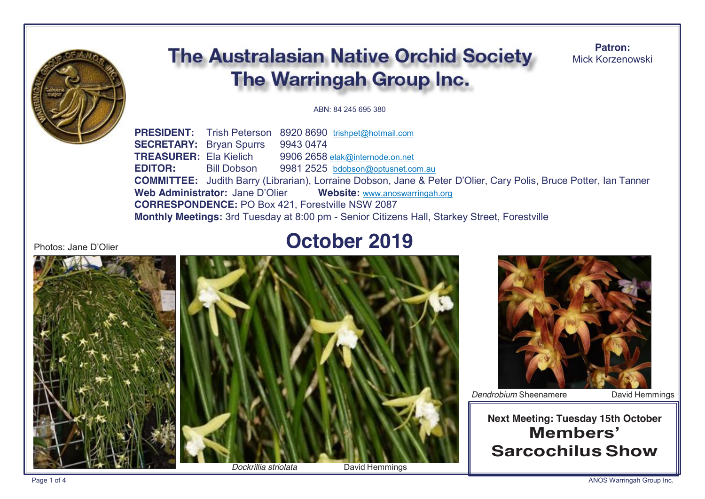

# **The Australasian Native Orchid Society The Warringah Group Inc.**

**Patron:** Mick Korzenowski

#### ABN: 84 245 695 380

**PRESIDENT:** Trish Peterson 8920 8690 trishpet@hotmail.com **SECRETARY:** Bryan Spurrs 9943 0474 **TREASURER:** Ela Kielich 9906 2658 elak@internode.on.net **EDITOR:** Bill Dobson 9981 2525 bdobson@optusnet.com.au **COMMITTEE:** Judith Barry (Librarian), Lorraine Dobson, Jane & Peter D'Olier, Cary Polis, Bruce Potter, Ian Tanner **Web Administrator:** Jane D'Olier **Website:** www.anoswarringah.org **CORRESPONDENCE:** PO Box 421, Forestville NSW 2087 **Monthly Meetings:** 3rd Tuesday at 8:00 pm - Senior Citizens Hall, Starkey Street, Forestville

#### Photos: Jane D'Olier

# **October 2019**





**Dendrobium Sheenamere** David Hemmings

# **Next Meeting: Tuesday 15th October Members' SarcochilusShow**

Page 1 of 4 **ANOS Warringah Group Inc.**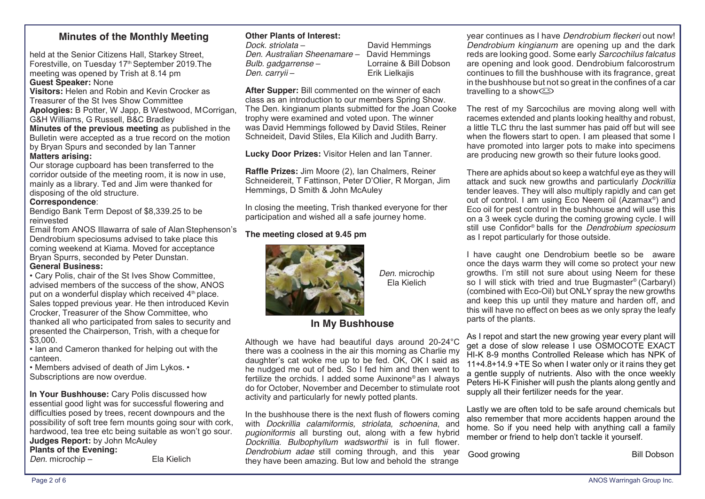### **Minutes of the Monthly Meeting**

held at the Senior Citizens Hall, Starkey Street, Forestville, on Tuesday 17th September 2019.The meeting was opened by Trish at 8.14 pm **Guest Speaker:** None

**Visitors:** Helen and Robin and Kevin Crocker as Treasurer of the St Ives Show Committee **Apologies:** B Potter, W Japp, B Westwood, MCorrigan,

G&H Williams, G Russell, B&C Bradley **Minutes of the previous meeting** as published in the Bulletin were accepted as a true record on the motion by Bryan Spurs and seconded by Ian Tanner **Matters arising:**

Our storage cupboard has been transferred to the corridor outside of the meeting room, it is now in use, mainly as a library. Ted and Jim were thanked for disposing of the old structure.

#### **Correspondence**:

Bendigo Bank Term Depost of \$8,339.25 to be reinvested

Email from ANOS Illawarra of sale of AlanStephenson's Dendrobium speciosums advised to take place this coming weekend at Kiama. Moved for acceptance Bryan Spurrs, seconded by Peter Dunstan. **General Business:**

• Cary Polis, chair of the St Ives Show Committee, advised members of the success of the show, ANOS put on a wonderful display which received  $4<sup>th</sup>$  place. Sales topped previous year. He then introduced Kevin Crocker, Treasurer of the Show Committee, who thanked all who participated from sales to security and presented the Chairperson, Trish, with a cheque for \$3,000.

• Ian and Cameron thanked for helping out with the canteen.

• Members advised of death of Jim Lykos. • Subscriptions are now overdue.

**In Your Bushhouse:** Cary Polis discussed how essential good light was for successful flowering and difficulties posed by trees, recent downpours and the possibility of soft tree fern mounts going sour with cork, hardwood, tea tree etc being suitable as won't go sour. **Judges Report:** by John McAuley

**Plants of the Evening:**

*Den.* microchip – Ela Kielich

**Other Plants of Interest:**<br>Dock. striolata –

**Den. Australian Sheenamare** -*Bulb. gadgarrense* – Lorraine & Bill Dobson *Den. carryii* – Erik Lielkajis

*David Hemmings*<br>David Hemmings

*Den.* microchip Ela Kielich

**After Supper:** Bill commented on the winner of each class as an introduction to our members Spring Show. The Den. kingianum plants submitted for the Joan Cooke trophy were examined and voted upon. The winner was David Hemmings followed by David Stiles, Reiner Schneideit, David Stiles, Ela Kilich and Judith Barry.

**Lucky Door Prizes:** Visitor Helen and Ian Tanner.

**Raffle Prizes:** Jim Moore (2), Ian Chalmers, Reiner Schneidereit, T Fattinson, Peter D'Olier, R Morgan, Jim Hemmings, D Smith & John McAuley

In closing the meeting, Trish thanked everyone for ther participation and wished all a safe journey home.

#### **The meeting closed at 9.45 pm**



# **In My Bushhouse**

Although we have had beautiful days around 20-24°C there was a coolness in the air this morning as Charlie my daughter's cat woke me up to be fed. OK, OK I said as he nudged me out of bed. So I fed him and then went to fertilize the orchids. I added some Auxinone® as I always do for October, November and December to stimulate root activity and particularly for newly potted plants.

In the bushhouse there is the next flush of flowers coming with *Dockrillia calamiformis, striolata, schoenina*, and *pugioniformis* all bursting out, along with a few hybrid *Dockrillia*. *Bulbophyllum wadsworthii* is in full flower. *Dendrobium adae* still coming through, and this year they have been amazing. But low and behold the strange

year continues as I have *Dendrobium fleckeri* out now! *Dendrobium kingianum* are opening up and the dark reds are looking good. Some early *Sarcochilus falcatus*  are opening and look good. Dendrobium falcorostrum continues to fill the bushhouse with its fragrance, great in the bushhouse but not so great in the confines of a car travelling to a show $\textcircled{S}$ 

The rest of my Sarcochilus are moving along well with racemes extended and plants looking healthy and robust, a little TLC thru the last summer has paid off but will see when the flowers start to open. I am pleased that some I have promoted into larger pots to make into specimens are producing new growth so their future looks good.

There are aphids about so keep a watchful eye as they will attack and suck new growths and particularly *Dockrillia*  tender leaves. They will also multiply rapidly and can get out of control. I am using Eco Neem oil (Azamax®) and Eco oil for pest control in the bushhouse and will use this on a 3 week cycle during the coming growing cycle. I will still use Confidor® balls for the *Dendrobium speciosum*  as I repot particularly for those outside.

I have caught one Dendrobium beetle so be aware once the days warm they will come so protect your new growths. I'm still not sure about using Neem for these so I will stick with tried and true Bugmaster® (Carbaryl) (combined with Eco-Oil) but ONLYspray the new growths and keep this up until they mature and harden off, and this will have no effect on bees as we only spray the leafy parts of the plants.

As I repot and start the new growing year every plant will get a dose of slow release I use OSMOCOTE EXACT HI-K 8-9 months Controlled Release which has NPK of 11+4.8+14.9 +TE So when I water only or it rains they get a gentle supply of nutrients. Also with the once weekly Peters Hi-K Finisher will push the plants along gently and supply all their fertilizer needs for the year.

Lastly we are often told to be safe around chemicals but also remember that more accidents happen around the home. So if you need help with anything call a family member or friend to help don't tackle it yourself.

Good growing **Bill** Dobson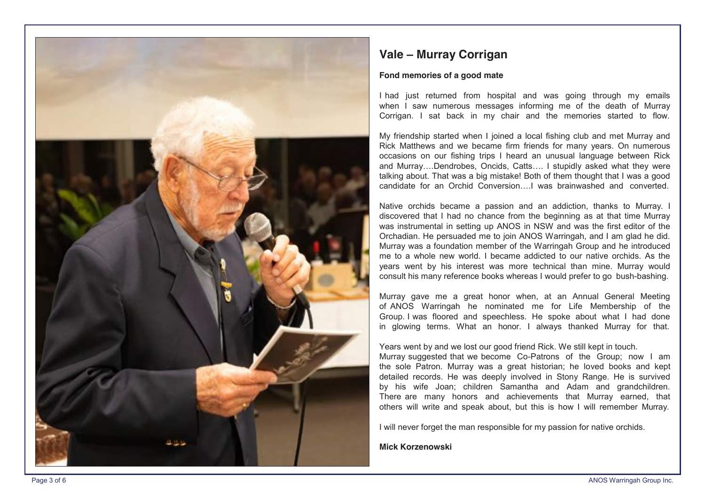

## **Vale – Murray Corrigan**

#### **Fond memories of a good mate**

I had just returned from hospital and was going through my emails when I saw numerous messages informing me of the death of Murray Corrigan. I sat back in my chair and the memories started to flow.

My friendship started when I joined a local fishing club and met Murray and Rick Matthews and we became firm friends for many years. On numerous occasions on our fishing trips I heard an unusual language between Rick and Murray….Dendrobes, Oncids, Catts…. I stupidly asked what they were talking about. That was a big mistake! Both of them thought that I was a good candidate for an Orchid Conversion….I was brainwashed and converted.

Native orchids became a passion and an addiction, thanks to Murray. I discovered that I had no chance from the beginning as at that time Murray was instrumental in setting up ANOS in NSW and was the first editor of the Orchadian. He persuaded me to join ANOS Warringah, and I am glad he did. Murray was a foundation member of the Warringah Group and he introduced me to a whole new world. I became addicted to our native orchids. As the years went by his interest was more technical than mine. Murray would consult his many reference books whereas I would prefer to go bush -bashing.

Murray gave me a great honor when, at an Annual General Meeting of ANOS Warringah he nominated me for Life Membership of the Group. I was floored and speechless. He spoke about what I had done in glowing terms. What an honor. I always thanked Murray for that.

#### Years went by and we lost our good friend Rick. We still kept in touch.

Murray suggested that we become Co -Patrons of the Group; now I am the sole Patron. Murray was a great historian; he loved books and kept detailed records. He was deeply involved in Stony Range. He is survived by his wife Joan; children Samantha and Adam and grandchildren. There are many honors and achievements that Murray earned, that others will write and speak about, but this is how I will remember Murray.

I will never forget the man responsible for my passion for native orchids.

**Mick Korzenowski**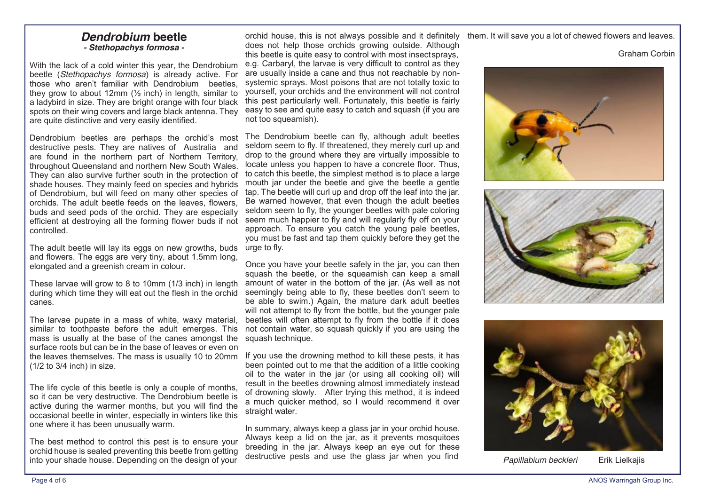### *Dendrobium* **beetle** *- Stethopachys formosa -*

With the lack of a cold winter this year, the Dendrobium beetle (*Stethopachys formosa*) is already active. For those who aren't familiar with Dendrobium beetles, they grow to about 12mm  $\frac{1}{2}$  inch) in length, similar to a ladybird in size. They are bright orange with four black spots on their wing covers and large black antenna. They are quite distinctive and very easily identified.

Dendrobium beetles are perhaps the orchid's most destructive pests. They are natives of Australia and are found in the northern part of Northern Territory, throughout Queensland and northern New South Wales. They can also survive further south in the protection of shade houses. They mainly feed on species and hybrids of Dendrobium, but will feed on many other species of orchids. The adult beetle feeds on the leaves, flowers, buds and seed pods of the orchid. They are especially efficient at destroying all the forming flower buds if not controlled.

The adult beetle will lay its eggs on new growths, buds urge to fly. and flowers. The eggs are very tiny, about 1.5mm long, elongated and a greenish cream in colour.

These larvae will grow to 8 to 10mm (1/3 inch) in length during which time they will eat out the flesh in the orchid canes.

The larvae pupate in a mass of white, waxy material, similar to toothpaste before the adult emerges. This mass is usually at the base of the canes amongst the surface roots but can be in the base of leaves or even on the leaves themselves. The mass is usually 10 to 20mm (1/2 to 3/4 inch) in size.

The life cycle of this beetle is only a couple of months, so it can be very destructive. The Dendrobium beetle is active during the warmer months, but you will find the occasional beetle in winter, especially in winters like this one where it has been unusually warm.

The best method to control this pest is to ensure your orchid house is sealed preventing this beetle from getting into your shade house. Depending on the design of your

orchid house, this is not always possible and it definitely does not help those orchids growing outside. Although this beetle is quite easy to control with most insectsprays, e.g. Carbaryl, the larvae is very difficult to control as they are usually inside a cane and thus not reachable by nonsystemic sprays. Most poisons that are not totally toxic to yourself, your orchids and the environment will not control this pest particularly well. Fortunately, this beetle is fairly easy to see and quite easy to catch and squash (if you are not too squeamish).

The Dendrobium beetle can fly, although adult beetles seldom seem to fly. If threatened, they merely curl up and drop to the ground where they are virtually impossible to locate unless you happen to have a concrete floor. Thus, to catch this beetle, the simplest method is to place a large mouth jar under the beetle and give the beetle a gentle tap. The beetle will curl up and drop off the leaf into the jar. Be warned however, that even though the adult beetles seldom seem to fly, the younger beetles with pale coloring seem much happier to fly and will regularly fly off on your approach. To ensure you catch the young pale beetles, you must be fast and tap them quickly before they get the

Once you have your beetle safely in the jar, you can then squash the beetle, or the squeamish can keep a small amount of water in the bottom of the jar. (As well as not seemingly being able to fly, these beetles don't seem to be able to swim.) Again, the mature dark adult beetles will not attempt to fly from the bottle, but the younger pale beetles will often attempt to fly from the bottle if it does not contain water, so squash quickly if you are using the squash technique.

If you use the drowning method to kill these pests, it has been pointed out to me that the addition of a little cooking oil to the water in the jar (or using all cooking oil) will result in the beetles drowning almost immediately instead of drowning slowly. After trying this method, it is indeed a much quicker method, so I would recommend it over straight water.

In summary, always keep a glass jar in your orchid house. Always keep a lid on the jar, as it prevents mosquitoes breeding in the jar. Always keep an eye out for these destructive pests and use the glass jar when you find

them. It will save you a lot of chewed flowers and leaves.

Graham Corbin







*Papillabium beckleri* Erik Lielkajis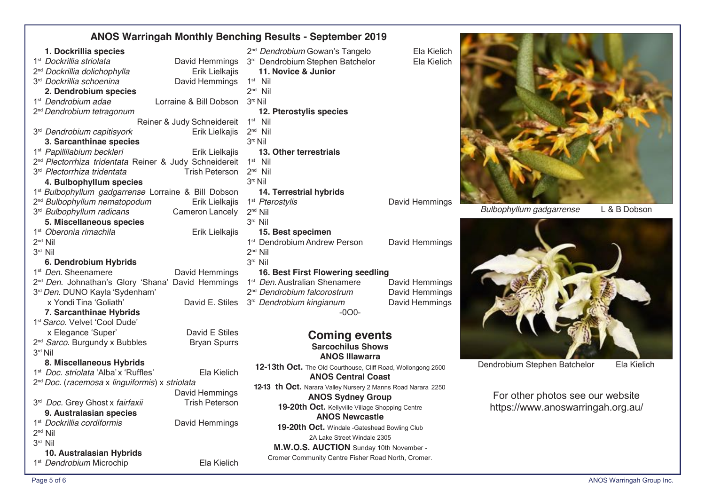## **ANOS Warringah Monthly Benching Results - September 2019**

| 1. Dockrillia species                                              |                            | 2 <sup>nd</sup> Dendrobium Gowan's Tangelo                   | Ela Kielich    |
|--------------------------------------------------------------------|----------------------------|--------------------------------------------------------------|----------------|
| 1 <sup>st</sup> Dockrillia striolata                               | David Hemmings             | 3rd Dendrobium Stephen Batchelor                             | Ela Kielich    |
| 2 <sup>nd</sup> Dockrillia dolichophylla                           | Erik Lielkajis             | 11. Novice & Junior                                          |                |
| 3 <sup>rd</sup> Dockrillia schoenina                               | David Hemmings             | $1st$ Nil                                                    |                |
| 2. Dendrobium species                                              |                            | $2nd$ Nil                                                    |                |
| 1 <sup>st</sup> Dendrobium adae                                    | Lorraine & Bill Dobson     | 3rd Nil                                                      |                |
| 2 <sup>nd</sup> Dendrobium tetragonum                              |                            | 12. Pterostylis species                                      |                |
|                                                                    | Reiner & Judy Schneidereit | $1st$ Nil                                                    |                |
| 3 <sup>rd</sup> Dendrobium capitisyork                             | Erik Lielkajis             | $2nd$ Nil                                                    |                |
| 3. Sarcanthinae species                                            |                            | 3rd Nil                                                      |                |
| 1 <sup>st</sup> Papillilabium beckleri                             | Erik Lielkajis             | 13. Other terrestrials                                       |                |
| 2 <sup>nd</sup> Plectorrhiza tridentata Reiner & Judy Schneidereit |                            | $1st$ Nil                                                    |                |
| 3 <sup>rd</sup> Plectorrhiza tridentata<br><b>Trish Peterson</b>   |                            | $2nd$ Nil                                                    |                |
| 4. Bulbophyllum species                                            |                            | 3rd Nil                                                      |                |
| 1 <sup>st</sup> Bulbophyllum gadgarrense Lorraine & Bill Dobson    |                            | 14. Terrestrial hybrids                                      |                |
| 2 <sup>nd</sup> Bulbophyllum nematopodum                           | Erik Lielkajis             | 1 <sup>st</sup> Pterostylis                                  | David Hemmings |
| 3 <sup>rd</sup> Bulbophyllum radicans                              | Cameron Lancely            | $2^{nd}$ Nil                                                 |                |
| 5. Miscellaneous species                                           |                            | 3rd Nil                                                      |                |
| 1 <sup>st</sup> Oberonia rimachila                                 | Erik Lielkajis             | 15. Best specimen                                            |                |
| $2nd$ Nil                                                          |                            | 1 <sup>st</sup> Dendrobium Andrew Person                     | David Hemmings |
| 3 <sup>rd</sup> Nil                                                |                            | $2^{nd}$ Nil                                                 |                |
| 6. Dendrobium Hybrids                                              |                            | 3rd Nil                                                      |                |
| 1 <sup>st</sup> Den. Sheenamere                                    | David Hemmings             | 16. Best First Flowering seedling                            |                |
| 2 <sup>nd</sup> Den. Johnathan's Glory 'Shana' David Hemmings      |                            | 1 <sup>st</sup> Den. Australian Shenamere                    | David Hemmings |
| 3rd Den. DUNO Kayla 'Sydenham'                                     |                            | 2 <sup>nd</sup> Dendrobium falcorostrum                      | David Hemmings |
| x Yondi Tina 'Goliath'                                             | David E. Stiles            | 3 <sup>rd</sup> Dendrobium kingianum                         | David Hemmings |
| 7. Sarcanthinae Hybrids                                            |                            | $-000-$                                                      |                |
| 1st Sarco. Velvet 'Cool Dude'                                      |                            |                                                              |                |
| x Elegance 'Super'                                                 | David E Stiles             | <b>Coming events</b>                                         |                |
| 2 <sup>nd</sup> Sarco. Burgundy x Bubbles                          | <b>Bryan Spurrs</b>        | <b>Sarcochilus Shows</b>                                     |                |
| 3rd Nil                                                            |                            | <b>ANOS Illawarra</b>                                        |                |
| 8. Miscellaneous Hybrids                                           |                            | 12-13th Oct. The Old Courthouse, Cliff Road, Wollongong 2500 |                |
| 1 <sup>st</sup> Doc. striolata 'Alba' x 'Ruffles'                  | Ela Kielich                | <b>ANOS Central Coast</b>                                    |                |
| 2 <sup>nd</sup> Doc. (racemosa x linguiformis) x striolata         |                            | 12-13 th Oct. Narara Valley Nursery 2 Manns Road Narara 2250 |                |
|                                                                    | David Hemmings             | <b>ANOS Sydney Group</b>                                     |                |
| 3 <sup>rd</sup> Doc. Grey Ghost x fairfaxii                        | <b>Trish Peterson</b>      | 19-20th Oct. Kellyville Village Shopping Centre              |                |
| 9. Australasian species                                            |                            | <b>ANOS Newcastle</b>                                        |                |
| 1 <sup>st</sup> Dockrillia cordiformis                             | David Hemmings             | 19-20th Oct. Windale -Gateshead Bowling Club                 |                |
| $2^{nd}$ Nil                                                       |                            | 2A Lake Street Windale 2305                                  |                |
| 3rd Nil                                                            |                            | M.W.O.S. AUCTION Sunday 10th November -                      |                |
| 10. Australasian Hybrids                                           |                            | Cromer Community Centre Fisher Road North, Cromer.           |                |
| 1 <sup>st</sup> Dendrobium Microchip                               | Ela Kielich                |                                                              |                |

| 3 <sup>rd</sup> Dendrobium Stephen Batchelor                 | Ela Kielich    |  |  |  |
|--------------------------------------------------------------|----------------|--|--|--|
| 11. Novice & Junior                                          |                |  |  |  |
| $1st$ Nil                                                    |                |  |  |  |
| $2^{nd}$ Nil                                                 |                |  |  |  |
| 3rd Nil                                                      |                |  |  |  |
| 12. Pterostylis species                                      |                |  |  |  |
| $1st$ Nil                                                    |                |  |  |  |
| $2nd$ Nil                                                    |                |  |  |  |
| $3^{\text{rd}}$ Nil                                          |                |  |  |  |
| 13. Other terrestrials                                       |                |  |  |  |
| $1st$ Nil                                                    |                |  |  |  |
| $2^{nd}$ Nil                                                 |                |  |  |  |
| $3rd$ Nil                                                    |                |  |  |  |
| 14. Terrestrial hybrids                                      |                |  |  |  |
| 1 <sup>st</sup> Pterostylis                                  | David Hemmings |  |  |  |
| $2^{nd}$ Nil                                                 |                |  |  |  |
| 3rd Nil                                                      |                |  |  |  |
| 15. Best specimen                                            |                |  |  |  |
| 1 <sup>st</sup> Dendrobium Andrew Person                     | David Hemmings |  |  |  |
| $2nd$ Nil                                                    |                |  |  |  |
| $3rd$ Nil                                                    |                |  |  |  |
| 16. Best First Flowering seedling                            |                |  |  |  |
| 1 <sup>st</sup> Den. Australian Shenamere                    |                |  |  |  |
|                                                              | David Hemmings |  |  |  |
| 2 <sup>nd</sup> Dendrobium falcorostrum                      | David Hemmings |  |  |  |
| 3 <sup>rd</sup> Dendrobium kingianum                         | David Hemmings |  |  |  |
| $-000-$                                                      |                |  |  |  |
|                                                              |                |  |  |  |
| <b>Coming events</b>                                         |                |  |  |  |
| <b>Sarcochilus Shows</b>                                     |                |  |  |  |
| <b>ANOS Illawarra</b>                                        |                |  |  |  |
| 12-13th Oct. The Old Courthouse, Cliff Road, Wollongong 2500 |                |  |  |  |
| <b>ANOS Central Coast</b>                                    |                |  |  |  |
| 12-13 th Oct. Narara Valley Nursery 2 Manns Road Narara 2250 |                |  |  |  |
| <b>ANOS Sydney Group</b>                                     |                |  |  |  |
| 19-20th Oct. Kellyville Village Shopping Centre              |                |  |  |  |
| <b>ANOS Newcastle</b>                                        |                |  |  |  |
| 19-20th Oct. Windale -Gateshead Bowling Club                 |                |  |  |  |
| 2A Lake Street Windale 2305                                  |                |  |  |  |
| M.W.O.S. AUCTION Sunday 10th November -                      |                |  |  |  |
| Cromer Community Centre Fisher Road North, Cromer.           |                |  |  |  |
|                                                              |                |  |  |  |
|                                                              |                |  |  |  |



*Bulbophyllum gadgarrense* L & B Dobson



Dendrobium Stephen Batchelor Ela Kielich

For other photos see our website https://www.anoswarringah.org.au/